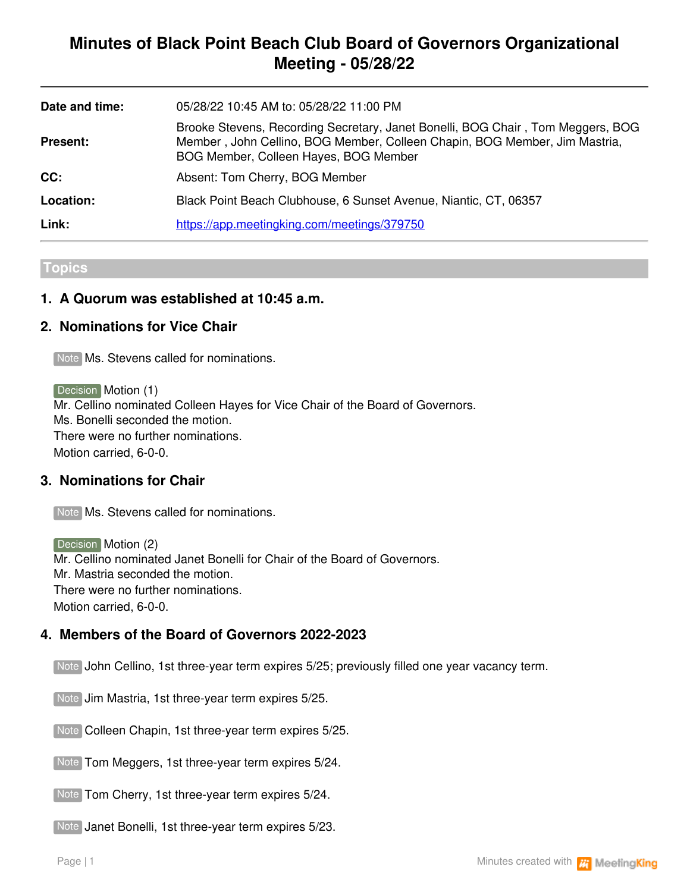# **Minutes of Black Point Beach Club Board of Governors Organizational Meeting - 05/28/22**

| Date and time:  | 05/28/22 10:45 AM to: 05/28/22 11:00 PM                                                                                                                                                                |
|-----------------|--------------------------------------------------------------------------------------------------------------------------------------------------------------------------------------------------------|
| <b>Present:</b> | Brooke Stevens, Recording Secretary, Janet Bonelli, BOG Chair, Tom Meggers, BOG<br>Member, John Cellino, BOG Member, Colleen Chapin, BOG Member, Jim Mastria,<br>BOG Member, Colleen Hayes, BOG Member |
| CC:             | Absent: Tom Cherry, BOG Member                                                                                                                                                                         |
| Location:       | Black Point Beach Clubhouse, 6 Sunset Avenue, Niantic, CT, 06357                                                                                                                                       |
| Link:           | https://app.meetingking.com/meetings/379750                                                                                                                                                            |

#### **Topics**

# **1. A Quorum was established at 10:45 a.m.**

# **2. Nominations for Vice Chair**

Note Ms. Stevens called for nominations.

Decision **Motion (1)** Mr. Cellino nominated Colleen Hayes for Vice Chair of the Board of Governors. Ms. Bonelli seconded the motion. There were no further nominations. Motion carried, 6-0-0.

### **3. Nominations for Chair**

Note Ms. Stevens called for nominations.

Decision Motion (2) Mr. Cellino nominated Janet Bonelli for Chair of the Board of Governors. Mr. Mastria seconded the motion. There were no further nominations. Motion carried, 6-0-0.

### **4. Members of the Board of Governors 2022-2023**

Note John Cellino, 1st three-year term expires 5/25; previously filled one year vacancy term.

Note Jim Mastria, 1st three-year term expires 5/25.

Note Colleen Chapin, 1st three-year term expires 5/25.

Note Tom Meggers, 1st three-year term expires 5/24.

Note Tom Cherry, 1st three-year term expires 5/24.

Note Janet Bonelli, 1st three-year term expires 5/23.